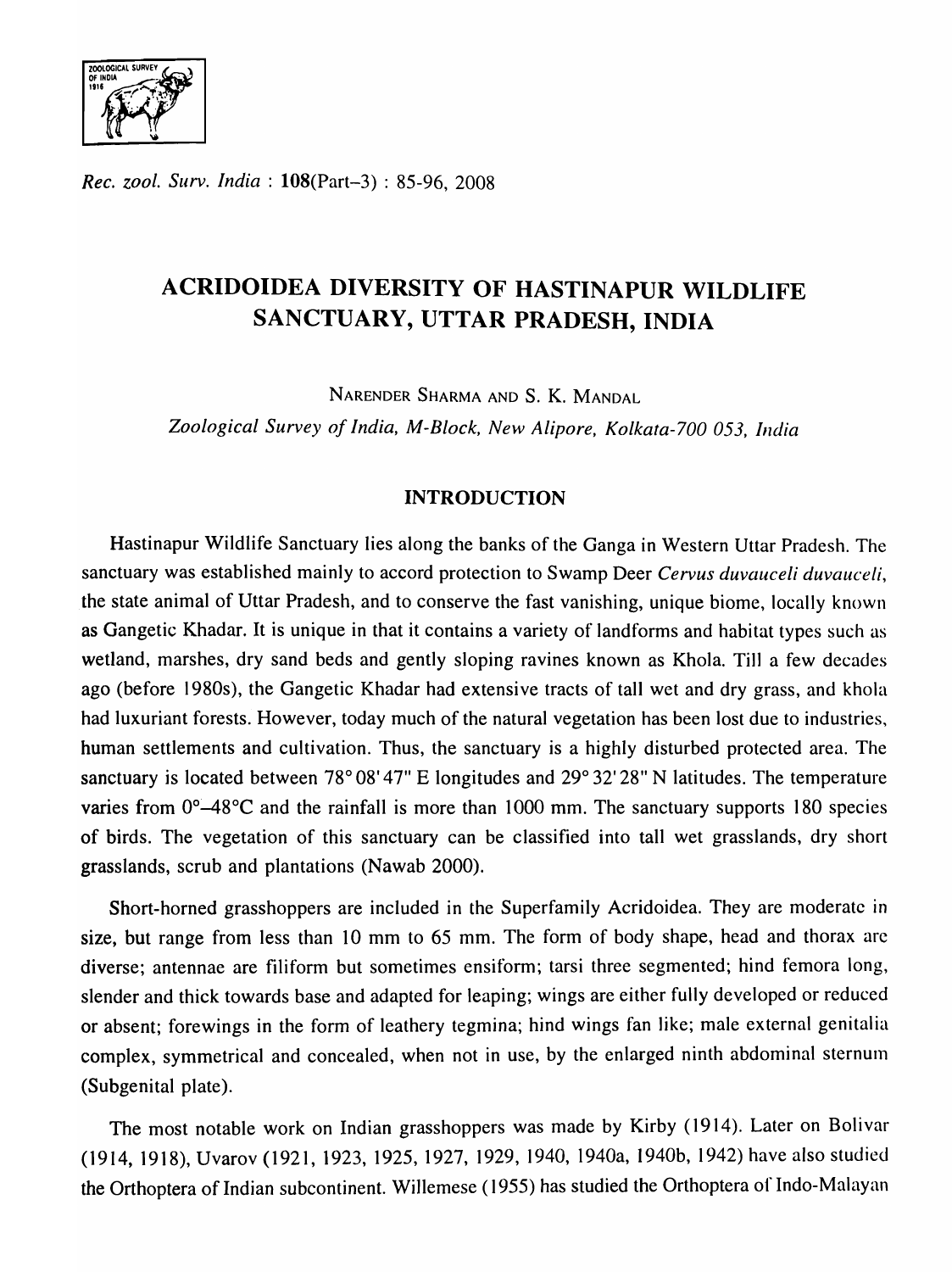*Rec. zool. Surv. India:* l08(Part-3) : 85-96, 2008

# ACRIDOIDEA DIVERSITY OF HASTINAPUR WILDLIFE SANCTUARY, UTTAR PRADESH, INDIA

NARENDER SHARMA AND S. K. MANDAL

*Zoological Survey of India, M-Block, New Alipore, Kolkala-700 053, India* 

## INTRODUCTION

Hastinapur Wildlife Sanctuary lies along the banks of the Ganga in Western Uttar Pradesh. The sanctuary was established mainly to accord protection to Swamp Deer *Cervus duvauceli duvauceli,*  the state animal of Uttar Pradesh, and to conserve the fast vanishing, unique biome, locally known as Gangetic Khadar. It is unique in that it contains a variety of landforms and habitat types such as wetland, marshes, dry sand beds and gently sloping ravines known as Khola. Till a few decades ago (before 1980s), the Gangetic Khadar had extensive tracts of tall wet and dry grass, and khola had luxuriant forests. However, today much of the natural vegetation has been lost due to industries, human settlements and cultivation. Thus, the sanctuary is a highly disturbed protected area. The sanctuary is located between  $78^{\circ}$  08' 47" E longitudes and  $29^{\circ}$  32' 28" N latitudes. The temperature varies from  $0^{\circ}$ -48°C and the rainfall is more than 1000 mm. The sanctuary supports 180 species of birds. The vegetation of this sanctuary can be classified into tall wet grasslands, dry short grasslands, scrub and plantations (Nawab 2000).

Short-horned grasshoppers are included in the Superfamily Acridoidea. They are moderate in size, but range from less than 10 mm to 65 mm. The form of body shape, head and thorax arc diverse; antennae are filiform but sometimes ensiform; tarsi three segmented; hind femora long, slender and thick towards base and adapted for leaping; wings are either fully developed or reduced or absent; forewings in the form of leathery tegmina; hind wings fan like; male external genitalia complex, symmetrical and concealed, when not in use, by the enlarged ninth abdominal sternum (Subgenital plate).

The most notable work on Indian grasshoppers was made by Kirby (1914). Later on Bolivar (1914, 1918), Uvarov (1921, 1923, 1925, 1927, 1929, 1940, 1940a, 1940b, 1942) have also studied the Orthoptera of Indian subcontinent. Willemese (1955) has studied the Orthoptera of Indo-Malayan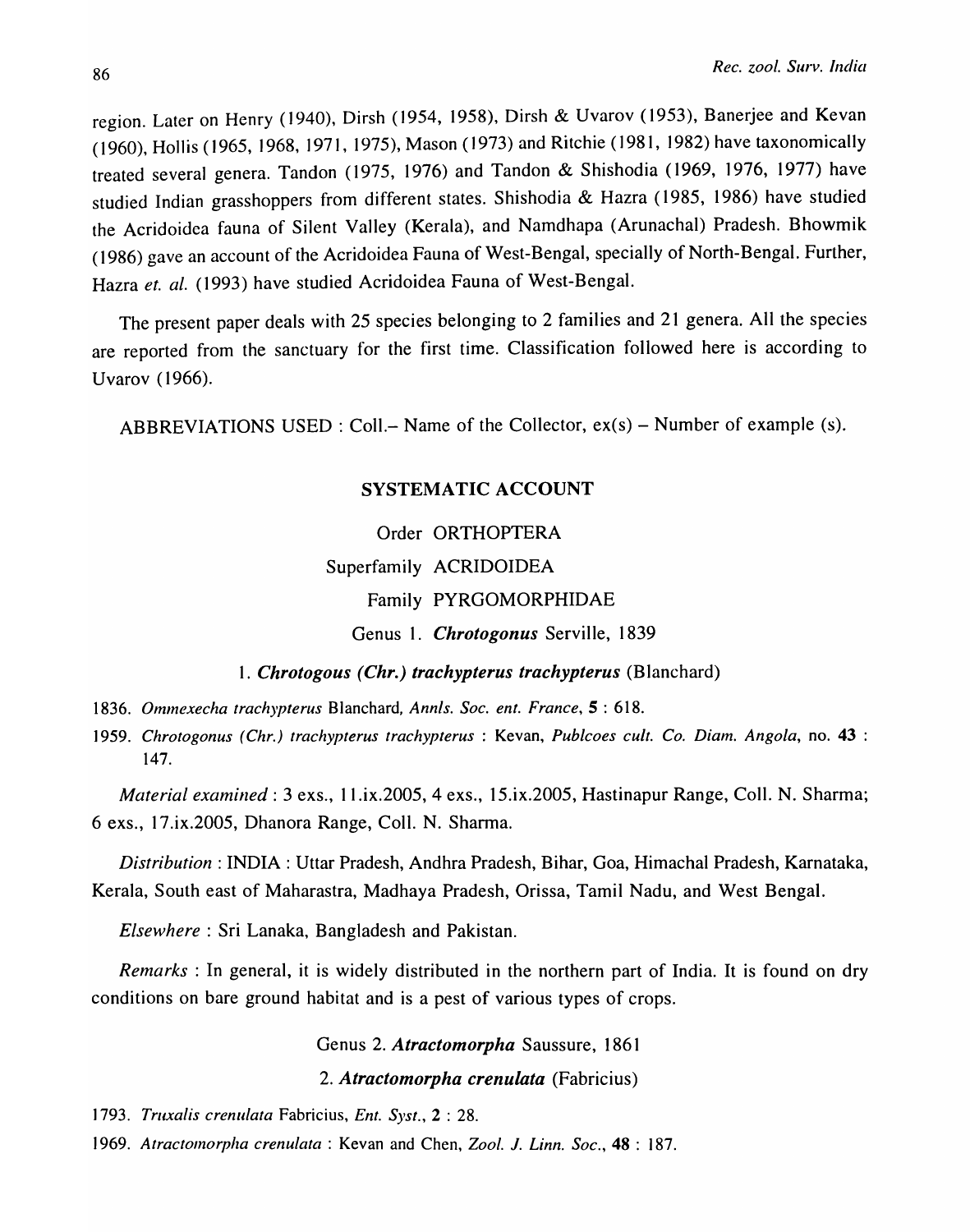region. Later on Henry (1940), Dirsh (1954, 1958), Dirsh & Uvarov (1953), Banerjee and Kevan (1960), Hollis (1965, 1968, 1971, 1975), Mason (1973) and Ritchie (1981, 1982) have taxonomically treated several genera. Tandon (1975, 1976) and Tandon & Shishodia (1969, 1976, 1977) have studied Indian grasshoppers from different states. Shishodia & Hazra (1985, 1986) have studied the Acridoidea fauna of Silent Valley (Kerala), and Namdhapa (Arunachal) Pradesh. Bhowmik (1986) gave an account of the Acridoidea Fauna of West-Bengal, specially of North-Bengal. Further, Hazra *et. al.* (1993) have studied Acridoidea Fauna of West-Bengal.

The present paper deals with 25 species belonging to 2 families and 21 genera. All the species are reported from the sanctuary for the first time. Classification followed here is according to Uvarov (1966).

ABBREVIATIONS USED: Coll.- Name of the Collector,  $ex(s)$  - Number of example (s).

## SYSTEMATIC ACCOUNT

Order ORTHOPTERA Superfamily ACRIDOIDEA Family PYRGOMORPHIDAE Genus 1. *Chrotogonus* Serville, 1839

*1836. Ommexecha trachypterus* Blanchard, *Annis. Soc. ent. France,S: 618.* 

*1959. Chrotogonus (Chr.) trachypterus trachypterus* : Kevan, *Publcoes cult. Co. Diam. Angola,* no. 43 : 147.

*1. Chrotogous (Chr.) trachypterus trachypterus* (Blanchard)

*Material examined:* 3 exs., 1 I .ix.2005, 4 exs., 15.ix.2005, Hastinapur Range, CoIl. N. Sharma; 6 exs., 17.ix.2005, Dhanora Range, ColI. N. Sharma.

*Distribution:* INDIA: Uttar Pradesh, Andhra Pradesh, Bihar, Goa, Himachal Pradesh, Karnataka, Kerala, South east of Maharastra, Madhaya Pradesh, Orissa, Tamil Nadu, and West Bengal.

*Elsewhere:* Sri Lanaka, Bangladesh and Pakistan.

*Remarks* : In general, it is widely distributed in the northern part of India. It is found on dry conditions on bare ground habitat and is a pest of various types of crops.

Genus 2. *Atractomorpha* Saussure, 1861

*2. Atractomorpha crenulata* (Fabricius)

*1793. Truxalis crenulata* Fabricius, *Ent. Syst.,* 2 : 28.

*1969. Atractomorpha crenulata* : Kevan and Chen, *Zool.* 1. *Linn. Soc.,* 48 : 187.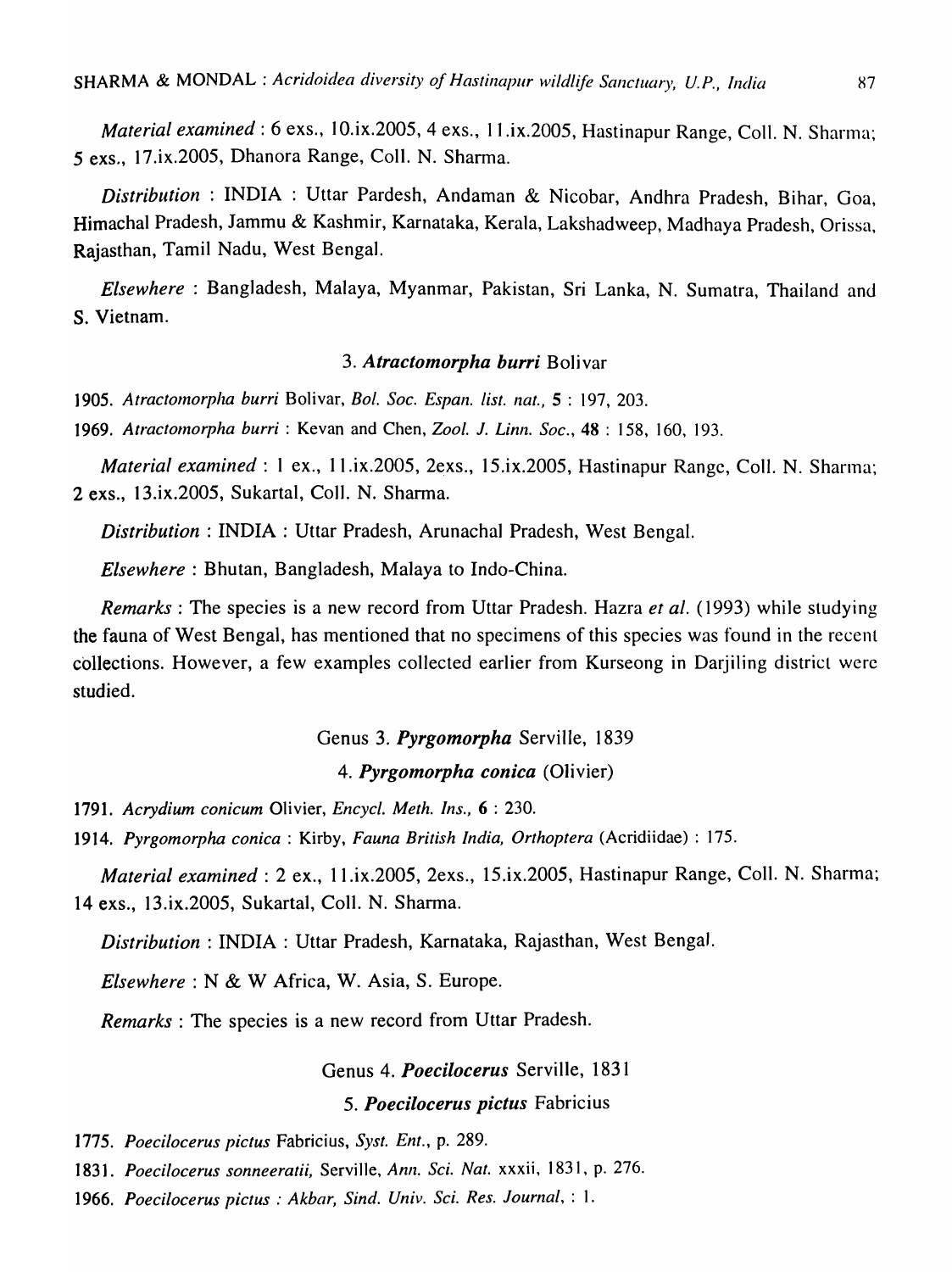*Material examined*: 6 exs., 10.ix.2005, 4 exs., 11.ix.2005, Hastinapur Range, Coll. N. Sharma; 5 exs., 17.ix.2005, Dhanora Range, ColI. N. Sharma.

*Distribution* : INDIA : Uttar Pardesh, Andaman & Nicobar, Andhra Pradesh, Bihar, Goa, Himachal Pradesh, Jammu & Kashmir, Karnataka, Kerala, Lakshadweep, Madhaya Pradesh, Orissa, Rajasthan, Tamil Nadu, West Bengal.

*Elsewhere* : Bangladesh, Malaya, Myanmar, Pakistan, Sri Lanka, N. Sumatra, Thailand and S. Vietnam.

### *3. Atractomorpha burri* Bolivar

*1905. Atractomorpha burri* Bolivar, *Bo!. Soc. Espan. list. nat.,* 5 : 197, 203.

*1969. Atractomorpha burri* : Kevan and Chen, *Zoo* I. *J. Linn. Soc.,* 48 : 158, 160, 193.

*Material examined: 1 ex., 11.ix.2005, 2exs., 15.ix.2005, Hastinapur Range, Coll. N. Sharma:* 2 exs., 13.ix.2005, Sukartal, CoIl. N. Sharma.

*Distribution:* INDIA: Uttar Pradesh, Arunachal Pradesh, West Bengal.

*Elsewhere:* Bhutan, Bangladesh, Malaya to Indo-China.

*Remarks:* The species is a new record from Uttar Pradesh. Hazra *et al.* (1993) while studying the fauna of West Bengal, has mentioned that no specimens of this species was found in the recent collections. However, a few examples collected earlier from Kurseong in Darjiling district were studied.

### Genus 3. *Pyrgomorpha* Serville, 1839

### *4. Pyrgomorpha conica* (Olivier)

*1791. Acrydium conicum* Olivier, *Encycl. Meth. Ins.,* 6 : 230.

*1914. Pyrgomorpha conica* : Kirby, *Fauna British India, Orthoptera* (Acridiidae) : 175.

*Material examined:* 2 ex., Il.ix.2005, 2exs., 15.ix.2005, Hastinapur Range, ColI. N. Sharma; 14 exs., 13.ix.2005, Sukartal, ColI. N. Sharma.

*Distribution:* INDIA: Uttar Pradesh, Karnataka, Rajasthan, West Bengal.

*Elsewhere:* N & W Africa, W. Asia, S. Europe.

*Remarks:* The species is a new record from Uttar Pradesh.

#### Genus 4. *Poecilocerus* Serville, 1831

## S. *Poecilocerus pictus* Fabricius

*1775. Poecilocerus pictus* Fabricius, *Syst. Ent.,* p. 289.

*1831. Poecilocerus sonneeratii,* Serville, *Ann. Sci. Nat.* xxxii, 1831, p. 276.

*1966. Poecilocerus pictus* : *Akbar, Sind. Vniv. Sci. Res. Journal,* : 1.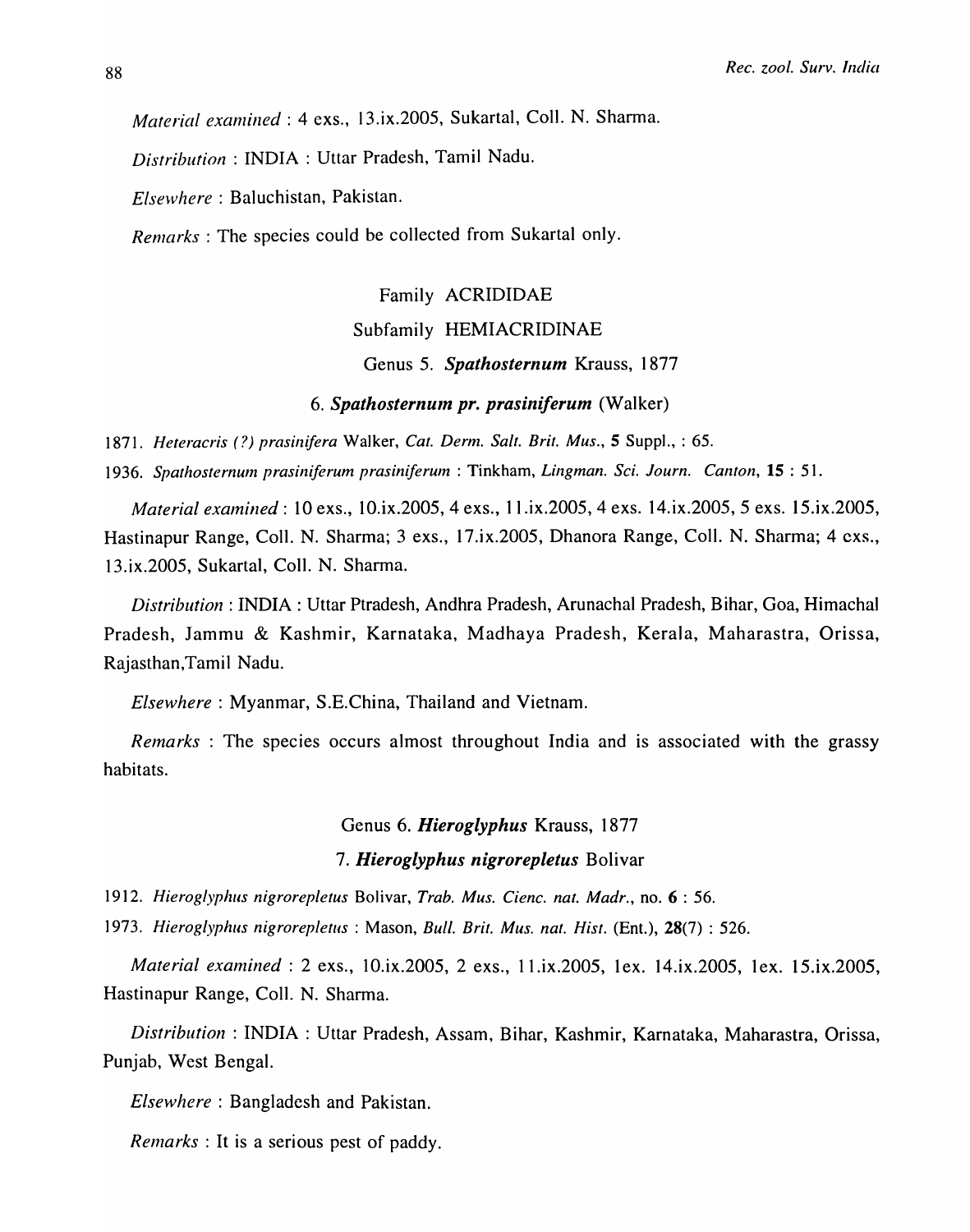*Material examined* : 4 exs., 13.ix.2005, Sukartal, Coll. N. Sharma.

*Distribution:* INDIA: Uttar Pradesh, Tamil Nadu.

*Elsewhere:* Baluchistan, Pakistan.

*Remarks*: The species could be collected from Sukartal only.

Family ACRIDIDAE

Subfamily HEMIACRIDINAE

Genus S. *Spathosternum* Krauss, 1877

6. Spathosternum pr. prasiniferum *(Walker)* 

1871. *Heteracris* (?) *prasinifera* Walker, *Cat. Derm. Salt. Brit. Mus.,* 5 Suppl., : 65.

*1936. Spathosternum prasiniferum prasiniferum* : Tinkham, *Lingman. Sci. Journ. Canton,* 15 : 51.

*Material examined: 10 exs., 10.ix.2005, 4 exs., 11.ix.2005, 4 exs. 14.ix.2005, 5 exs. 15.ix.2005,* Hastinapur Range, ColI. N. Sharma; 3 exs., 17.ix.2005, Dhanora Range, ColI. N. Sharma; 4 cxs., 13.ix.2005, Sukartal, ColI. N. Sharma.

*Distribution:* INDIA: Uttar Ptradesh, Andhra Pradesh, Arunachal Pradesh, Bihar, Goa, Himachal Pradesh, Jammu & Kashmir, Karnataka, Madhaya Pradesh, Kerala, Maharastra, Orissa, Rajasthan,Tamil Nadu.

*Elsewhere:* Myanmar, S.E.China, Thailand and Vietnam.

*Remarks* : The species occurs almost throughout India and is associated with the grassy habitats.

Genus 6. *Hieroglyphus* Krauss, 1877

#### *7. Hieroglyphus nigrorepletus* Bolivar

*1912. Hieroglyphus nigrorepletus* Bolivar, *Trab. Mus. Cienc. nat. Madr.,* no. 6 : 56.

*1973. Hieroglyphus nigrorepletus* : Mason, *Bull. Brit. Mus. nat. Hist.* (Ent.), 28(7) : 526.

*Material examined* : 2 exs., 10.ix.2005, 2 exs., 11.ix.2005, 1ex. 14.ix.2005, 1ex. 15.ix.2005, Hastinapur Range, ColI. N. Sharma.

*Distribution:* INDIA: Uttar Pradesh, Assam, Bihar, Kashmir, Karnataka, Maharastra, Orissa, Punjab, West Bengal.

*Elsewhere:* Bangladesh and Pakistan.

*Remarks* : It is a serious pest of paddy.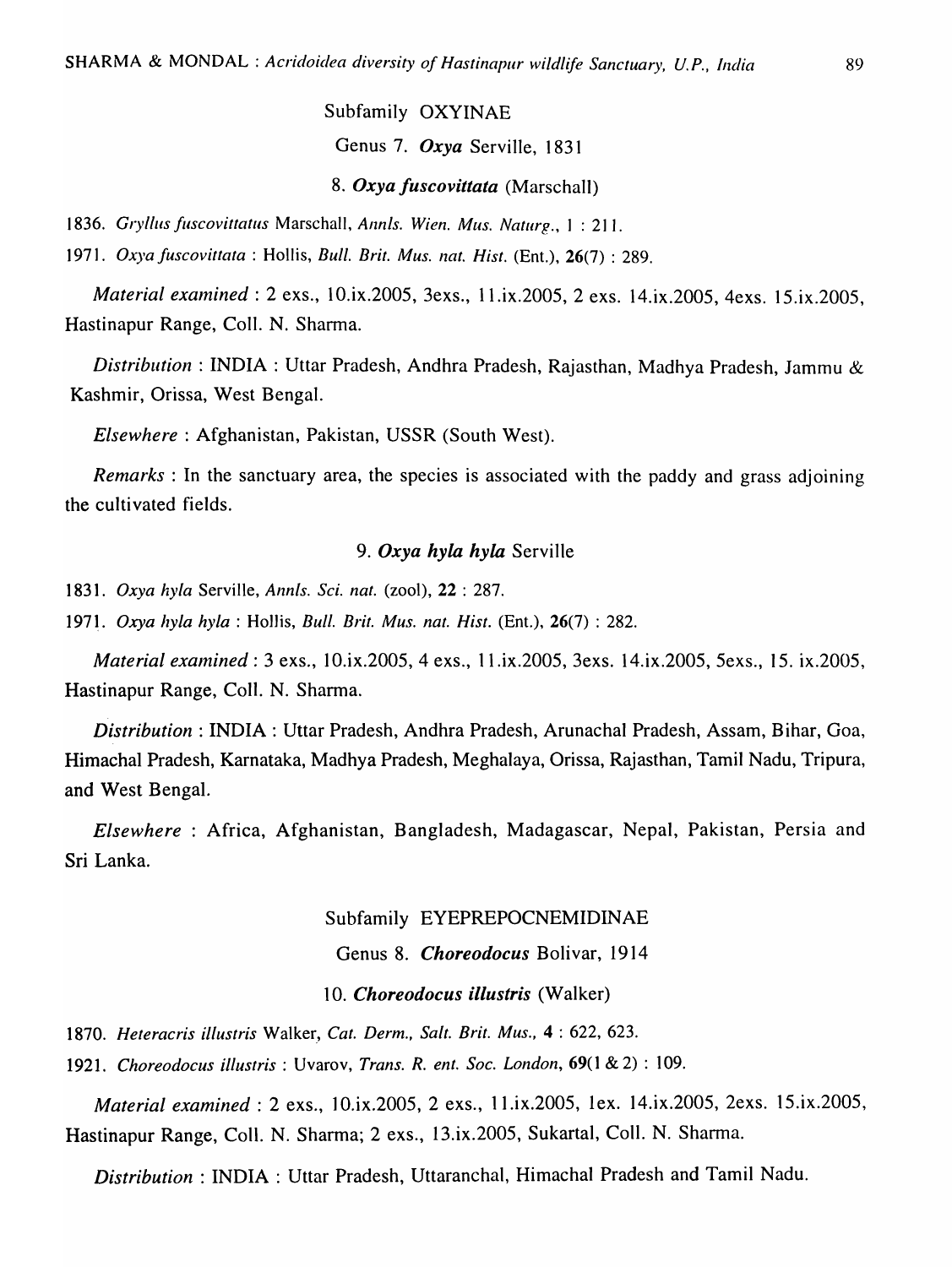Subfamily OXYINAE

Genus 7. *Oxya* Serville, 1831

*8. Oxya fuscovittata* (Marschall)

*1836. Gryllils fuscovittatus* Marschall, *Annis. Wien. Mus. Naturg.,* 1 : 211.

*1971. Oxya fuscovittata* : Hollis, *Bull. Brit. Mus. nat. Hist.* (Ent.), 26(7) : 289.

*Material examined* : 2 exs., 10.ix.2005, 3exs., 11.ix.2005, 2 exs. 14.ix.2005, 4exs. 15.ix.2005, Hastinapur Range, Coll. N. Sharma.

*Distribution:* INDIA: Uttar Pradesh, Andhra Pradesh, Rajasthan, Madhya Pradesh, Jammu & Kashmir, Orissa, West Bengal.

*Elsewhere:* Afghanistan, Pakistan, USSR (South West).

*Remarks:* In the sanctuary area, the species is associated with the paddy and grass adjoining the cultivated fields.

## *9. Oxya hyla hyla* Serville

*1831. Oxya hyla* Serville, *Annis. Sci. nat.* (zool), 22 : 287.

*1971. Oxya hyla hyla* : HoJJis, *Bull. Brit. Mus. nat. Hist.* (Ent.), 26(7) : 282.

*Material examined* : 3 exs., 10.ix.2005, 4 exs., 11.ix.2005, 3exs. 14.ix.2005, 5exs., 15. ix.2005, Hastinapur Range, Coll. N. Sharma.

*Distribution:* INDIA: Uttar Pradesh, Andhra Pradesh, Arunachal Pradesh, Assam, Bihar, Goa, Himachal Pradesh, Karnataka, Madhya Pradesh, Meghalaya, Orissa, Rajasthan, Tamil Nadu, Tripura, and West Bengal.

*Elsewhere* : Africa, Afghanistan, Bangladesh, Madagascar, Nepal, Pakistan, Persia and Sri Lanka.

### Subfamily EYEPREPOCNEMIDINAE

Genus 8. *Choreodocus* Bolivar, 1914

### *10. Choreodocus illustris* (Walker)

1870. Heteracris illustris Walker, Cat. Derm., Salt. Brit. Mus., 4: 622, 623.

*1921. Choreodocus illustris* : Uvarov, *Trans. R. ent. Soc. London,* 69(1 & 2) : 109.

*Material examined: 2 exs., 10.ix.2005, 2 exs., 11.ix.2005, 1ex. 14.ix.2005, 2exs. 15.ix.2005,* Hastinapur Range, Coll. N. Sharma; 2 exs., 13.ix.2005, Sukartal, Coll. N. Sharma.

*Distribution:* INDIA: Uttar Pradesh, Uttaranchal, Himachal Pradesh and Tamil Nadu.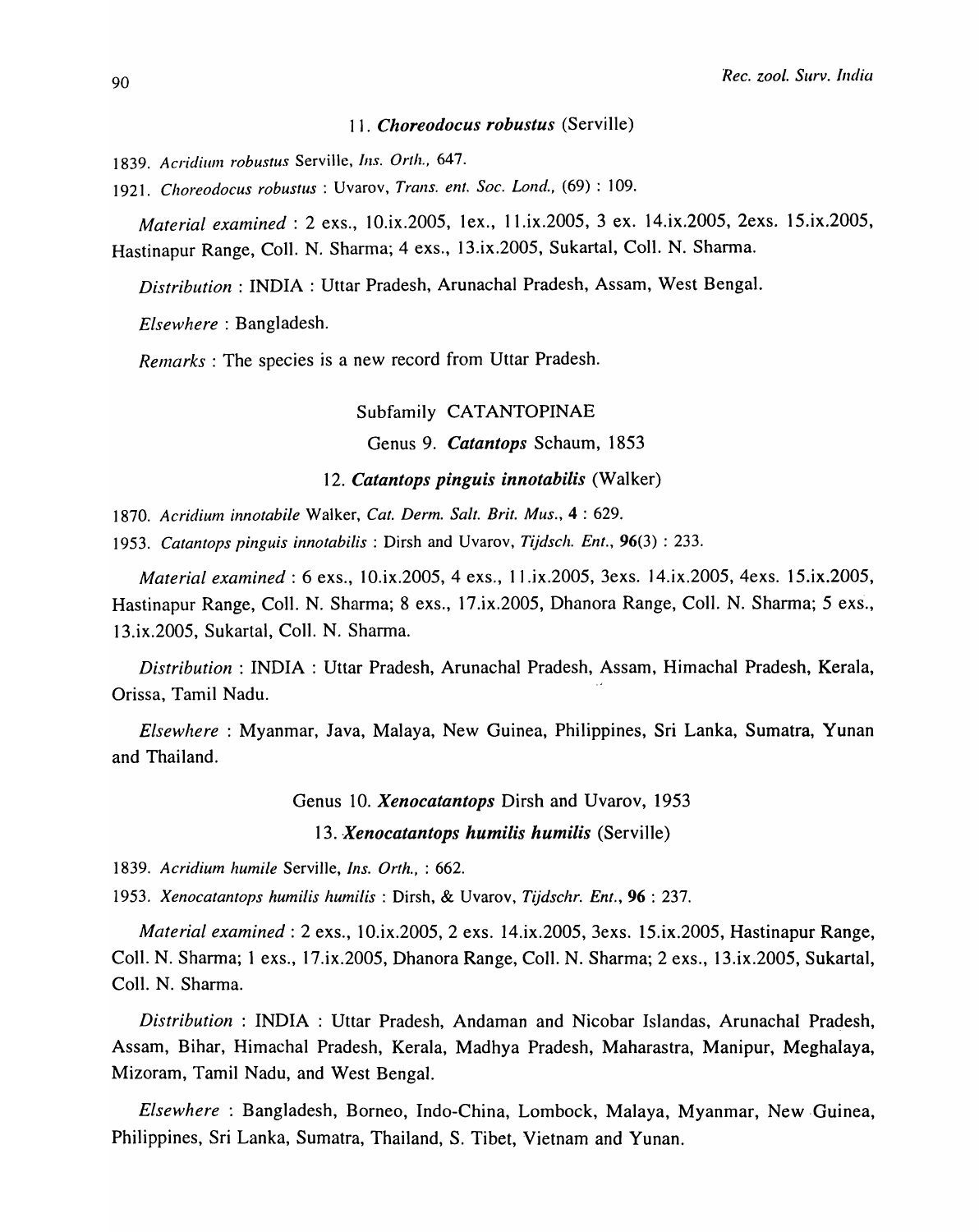### *11. Choreodocus robustus* (Serville)

- 1839. Acridium robustus Serville, *Ins. Orth.*, 647.
- *1921. Choreodocus robustus* : Uvarov, *Trans. ent. Soc. Lond.,* (69) : 109.

*Material examined:* 2 exs., 10.ix.2005, lex., Il.ix.2005, 3 ex. 14.ix.2005, 2exs. 15.ix.2005, Hastinapur Range, ColI. N. Sharma; 4 exs., 13.ix.2005, Sukartal, ColI. N. Sharma.

*Distribution:* INDIA: Uttar Pradesh, Arunachal Pradesh, Assam, West Bengal.

*Elsewhere:* Bangladesh.

*Remarks* : The species is a new record from Uttar Pradesh.

#### Subfamily CATANTOPINAE

Genus 9. *Catantops* Schaum, 1853

#### *12. Catantops pinguis innotabilis* (Walker)

*1870. Acridium innotabile* Walker, *Cat. Derm. Salt. Brit. Mus.,* 4 : 629.

*1953. Catantops pinguis innotabilis* : Dirsh and Uvarov, *Tijdsch. Ent.,* 96(3) : 233.

*Material examined:* 6 exs., 10.ix.2005, 4 exs., 11 .ix.2005, 3exs. J 4.ix.2005, 4exs. 15.ix.2005, Hastinapur Range, CoIl. N. Sharma; 8 exs., 17.ix.2005, Dhanora Range, ColI. N. Sharma; 5 exs., 13.ix.2005, Sukartal, ColI. N. Sharma.

*Distribution* : INDIA: Uttar Pradesh, Arunachal Pradesh, Assam, Himachal Pradesh, Kerala, Orissa, Tamil Nadu.

*Elsewhere* : Myanmar, Java, Malaya, New Guinea, Philippines, Sri Lanka, Sumatra, Yunan and Thailand.

Genus 10. *Xenocatantops* Dirsh and Uvarov, 1953

13. *Xenocatantops humilis humilis* (Serville)

*1839. Acridium humile* Serville, *Ins. Orth.,* : 662.

*1953. Xenocatantops humilis humilis* : Dirsh, & Uvarov, *Tijdschr. Ent.,* 96 : 237.

*Material examined:* 2 exs., 10.ix.2005, 2 exs. 14.ix.2005, 3exs. 15.ix.2005, Hastinapur Range, ColI. N. Sharma; 1 exs., 17.ix.2005, Dhanora Range, ColI. N. Sharma; 2 exs., 13.ix.2005, SukartaI, ColI. N. Sharma.

*Distribution* : INDIA : Uttar Pradesh, Andaman and Nicobar Islandas, Arunachal Pradesh, Assam, Bihar, Himachal Pradesh, Kerala, Madhya Pradesh, Maharastra, Manipur, MeghaIaya, Mizoram, Tamil Nadu, and West Bengal.

*Elsewhere* : Bangladesh, Borneo, Indo-China, Lombock, Malaya, Myanmar, New ·Guinea, Philippines, Sri Lanka, Sumatra, Thailand, S. Tibet, Vietnam and Yunan.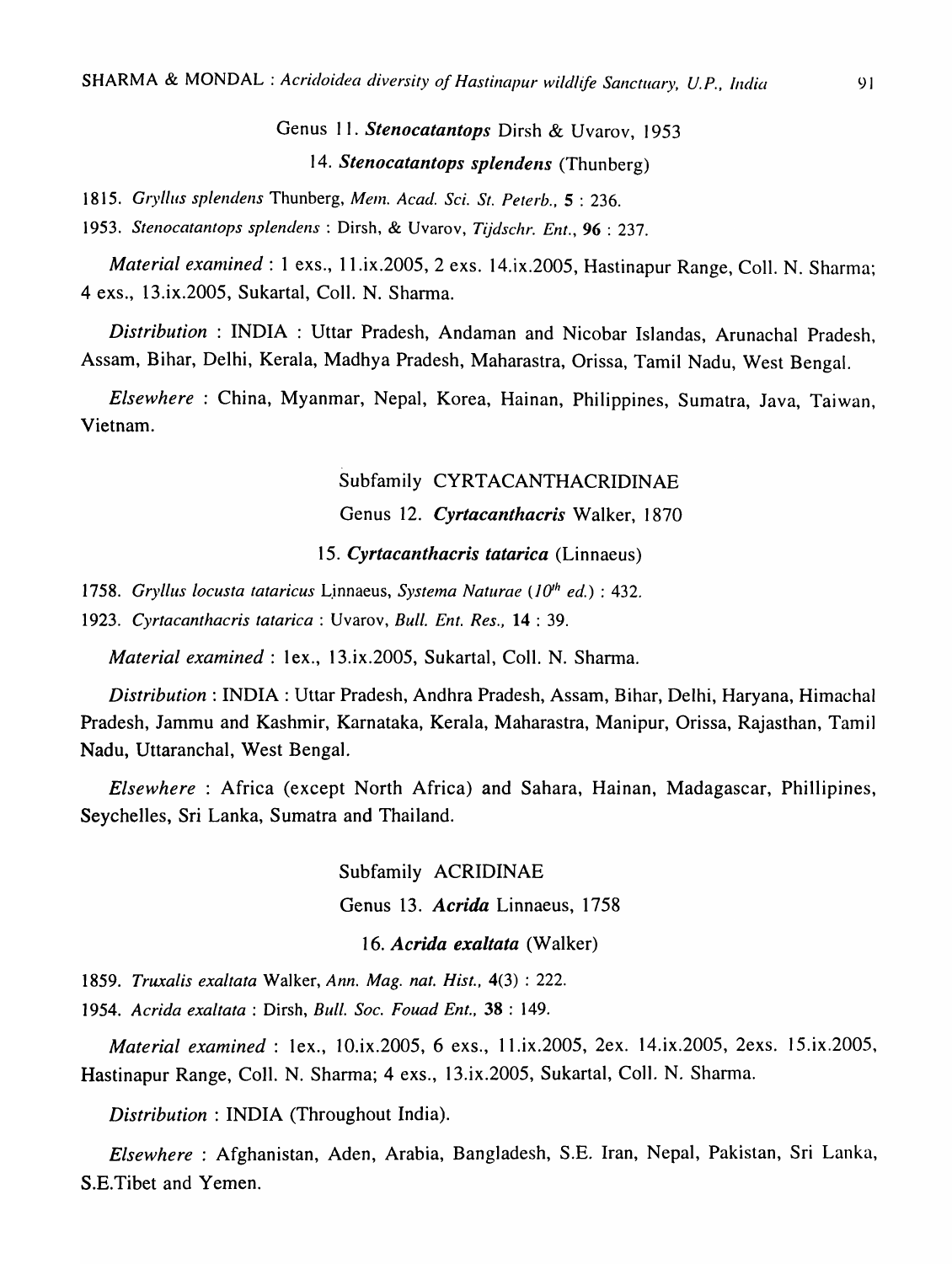# Genus 11. *Stenocatantops* Dirsh & Uvarov, 1953 *14. Stenocatantops splendens* (Thunberg)

*1815. Gryl/us splendens* Thunberg, *Mem. Acad. Sci. St. Peterb.,* 5 : 236.

*1953. Stenocatantops splendens* : Dirsh, & Uvarov, *Tijdschr. Ent.,* 96 : 237.

*Material examined* : 1 exs., 11.ix.2005, 2 exs. 14.ix.2005, Hastinapur Range, Coll. N. Sharma; 4 exs., 13.ix.2005, Sukartal, ColI. N. Sharma.

*Distribution* : INDIA : Uttar Pradesh, Andaman and Nicobar Islandas, Arunachal Pradesh, Assam, Bihar, Delhi, Kerala, Madhya Pradesh, Maharastra, Orissa, Tamil Nadu, West Bengal.

*Elsewhere:* China, Myanmar, Nepal, Korea, Hainan, Philippines, Sumatra, Java, Taiwan, Vietnam.

## Subfamily CYRTACANTHACRIDINAE

## Genus 12. *Cyrtacanthacris* Walker, 1870

*15. Cyrtacanthacris tatarica* (Linnaeus)

*1758. Gryllus locusta tataricus* L.innaeus, *Systema Naturae (lO'h ed.)* : 432.

*1923. Cyrtacanthacris tatarica* : Uvarov, *Bull. Ent. Res.,* **14** : 39.

*Material examined:* 1 ex., 13.ix.2005, Sukartal, CoIl. N. Sharma.

*Distribution:* INDIA: Uttar Pradesh, Andhra Pradesh, Assam, Bihar, Delhi, Haryana, Himachal Pradesh, Jammu and Kashmir, Karnataka, Kerala, Maharastra, Manipur, Orissa, Rajasthan, Tamil Nadu, Uttaranchal, West Bengal.

*Elsewhere* : Africa (except North Africa) and Sahara, Hainan, Madagascar, Phillipines, Seychelles, Sri Lanka, Sumatra and Thailand.

> Subfamily ACRIDINAE Genus 13. *Acrida* Linnaeus, 1758

*16. Acrida exaltata* (Walker)

*1859. Truxalis exaltata* Walker, *Ann. Mag. nat. Hist.,* 4(3) : 222.

*1954. Acrida exaltata* : Dirsh, *Bull. Soc. Fouad Ent.,* 38 : 149.

*Material examined:* 1 ex., 10.ix.2005, 6 exs., ll.ix.2005, 2ex. 14.ix.2005, 2exs. 15.ix.2005, Hastinapur Range, ColI. N. Sharma; 4 exs., 13.ix.2005, Sukartal, ColI. N. Sharma.

*Distribution* : INDIA (Throughout India).

*Elsewhere* : Afghanistan, Aden, Arabia, Bangladesh, S.E. Iran, Nepal, Pakistan, Sri Lanka, S.E.Tibet and Yemen.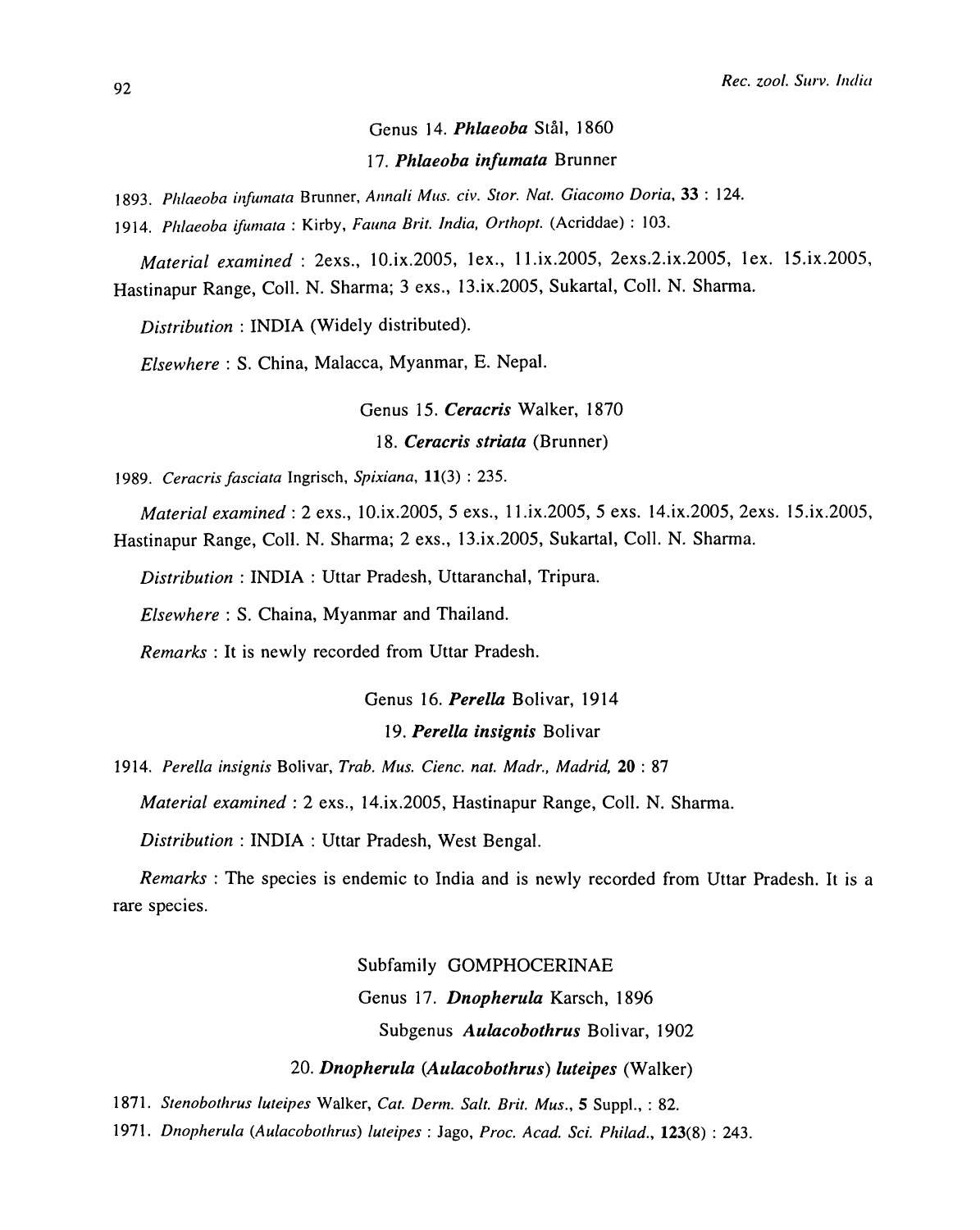## Genus 14. *Phlaeoba* Stål, 1860 *17. Phlaeoba infumata* Brunner

*1893. Ph/aeoba infumata* Brunner, *Annali Mus. civ. Stor. Nat. Giacomo Doria,* 33 : 124.

*]914. Plzlaeoba iJumata* : Kirby, *Fauna Brit. India, Orthopt.* (Acriddae) : 103.

*Material examined* : 2exs., 10.ix.2005, 1ex., 11.ix.2005, 2exs.2.ix.2005, 1ex. 15.ix.2005, Hastinapur Range, ColI. N. Sharma; 3 exs., 13.ix.200S, Sukartal, ColI. N. Shanna.

*Distribution:* INDIA (Widely distributed).

*Elsewhere:* S. China, Malacca, Myanmar, E. Nepal.

Genus IS. *Ceracris* Walker, 1870 *18. Ceracris striata* (Brunner)

*1989. Ceracris fasciata* Ingrisch, *Spixiana,* 11(3) : 235.

*Material examined:* 2 exs., 10.ix.200S, S exs., 1 1.ix.200S, S exs. 14.ix.200S, 2exs. lS.ix.200S, Hastinapur Range, ColI. N. Sharma; 2 exs., 13.ix.200S, Sukartal, CoIl. N. Sharma.

*Distribution:* INDIA: Uttar Pradesh, Uttaranchal, Tripura.

*Elsewhere:* S. Chaina, Myanmar and Thailand.

*Remarks:* It is newly recorded from Uttar Pradesh.

# Genus 16. *Perella* Bolivar, 1914

## 19. Perella insignis Bolivar

*1914. Perella insignis* Bolivar, *Trab. Mus. Cienc. nat. Madr., Madrid,* 20 : 87

*Material examined:* 2 exs., 14.ix.200S, Hastinapur Range, ColI. N. Shanna.

*Distribution:* INDIA: Uttar Pradesh, West Bengal.

*Remarks:* The species is endemic to India and is newly recorded from Uttar Pradesh. It is a rare species.

Subfamily GOMPHOCERINAE

Genus 17. *Dnopherula* Karsch, 1896

Subgenus *Aulacobothrus* Bolivar, 1902

*20. Dnopherula (Aulacobothrus) luteipes* (Walker)

*1871. Stenobothrus luteipes* Walker, *Cat. Derm. Salt. Brit. Mus.,* 5 Suppl., : 82.

*1971. Dnopherula (Aulacobothrus) luteipes* : Jago, *Proc. A cad. Sci. Philad.,* 123(8) : 243.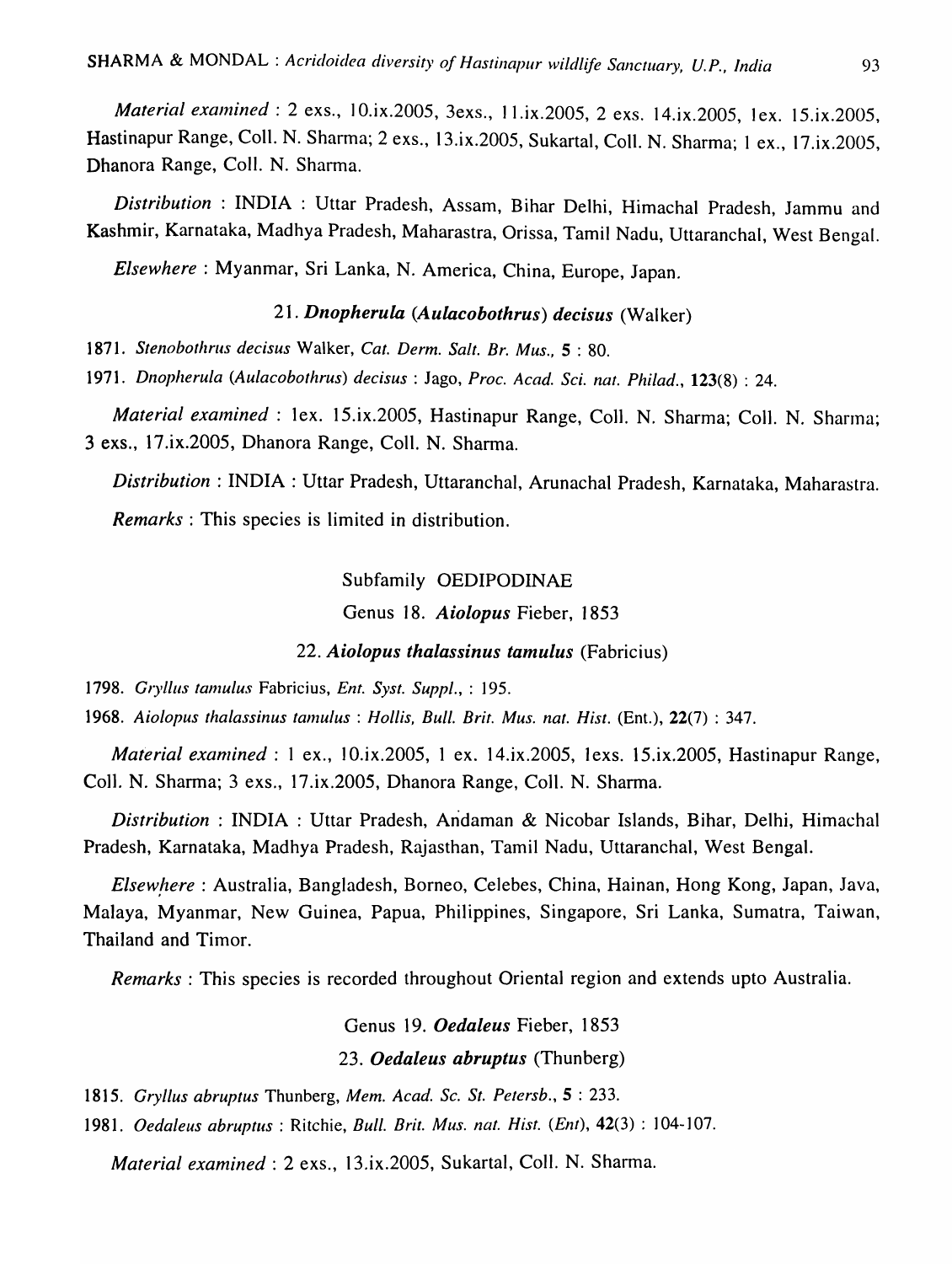*Material examined* : 2 exs., 10.ix.2005, 3exs., 11.ix.2005, 2 exs. 14.ix.2005, 1ex. 15.ix.2005, Hastinapur Range, ColI. N. Sharma; 2 exs., 13.ix.2005, Sukartal, ColI. N. Sharma; 1 ex., 17.ix.2005, Dhanora Range, ColI. N. Sharma.

*Distribution* : INDIA: Uttar Pradesh, Assam, Bihar Delhi, Himachal Pradesh, Jammu and Kashmir, Karnataka, Madhya Pradesh, Maharastra, Orissa, Tamil Nadu, Uttaranchal, West Bengal.

*Elsewhere:* Myanmar, Sri Lanka, N. America, China, Europe, Japan.

## *21. Dnopherula (Aulacobothrus) decisus* (Walker)

*1871. Stenobotlzrus decisus* Walker, *Cat. Derm. Salt. Br. Mus.,* 5 : 80.

*1971. Dnopherula (Aulacobothrus) decisus* : Jago, *Proc. A cad. Sci. nat. Philad.,* 123(8) : 24.

*Material examined* : lex. 15.ix.2005, Hastinapur Range, Coll. N. Sharma; Coll. N. Sharma; 3 exs., 17.ix.2005, Dhanora Range, Coll. N. Sharma.

*Distribution:* INDIA: Uttar Pradesh, Uttaranchal, Arunachal Pradesh, Karnataka, Maharastra.

*Remarks:* This species is limited in distribution.

Subfamily OEDIPODINAE Genus 18. *Aiolopus* Fieber, 1853

## *22. Aiolopus thalassinus tamulus* (Fabricius)

*1798. Gryllus tamulus* Fabricius, *Ent. Syst. Supp!.,* : 195.

*1968. Aiolopus thalassinus tamulus* : *Hollis, Bull. Brit. Mus. nat. Hist.* (Ent.), 22(7) : 347.

*Material examined* : 1 ex., 10.ix.2005, 1 ex. 14.ix.2005, 1exs. 15.ix.2005, Hastinapur Range, Coll. N. Sharma; 3 exs., 17.ix.2005, Dhanora Range, Coll. N. Sharma.

*Distribution* : INDIA : Uttar Pradesh, Aridaman & Nicobar Islands, Bihar, Delhi, Himachal Pradesh, Karnataka, Madhya Pradesh, Rajasthan, Tamil Nadu, Uttaranchal, West Bengal.

*Elsew!tere* : Australia, Bangladesh, Borneo, Celebes, China, Hainan, Hong Kong, Japan, Java, Malaya, Myanmar, New Guinea, Papua, Philippines, Singapore, Sri Lanka, Sumatra, Taiwan, Thailand and Timor.

*Remarks:* This species is recorded throughout Oriental region and extends upto Australia.

## Genus 19. *Oedaleus* Fieber, 1853 *23. Oedaleus abruptus* (Thunberg)

*1815. Gryllus abruptus* Thunberg, *Mem. A cad. Sc. St. Petersb.,* 5 : 233.

*1981. Oedaleus abruptus* : Ritchie, *Bull. Brit. Mus. nat. Hist. (Ent),* 42(3) : 104-107.

*Material examined:* 2 exs., 13.ix.2005, Sukartal, ColI. N. Sharma.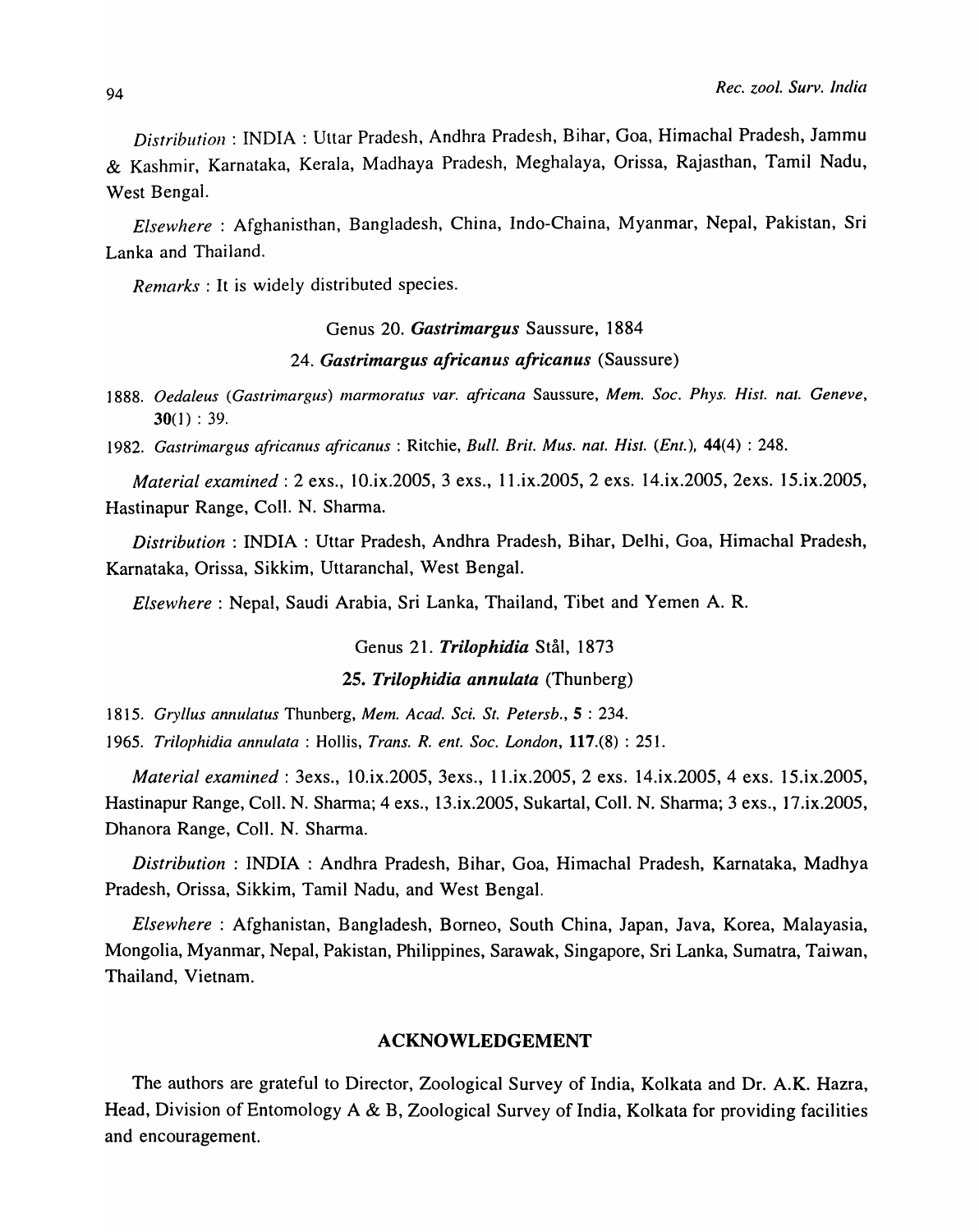*Distribution:* INDIA: Uttar Pradesh, Andhra Pradesh, Bihar, Goa, Himachal Pradesh, Jammu & Kashmir, Karnataka, Kerala, Madhaya Pradesh, Meghalaya, Orissa, Rajasthan, Tamil Nadu, West Bengal.

*Elsewhere* : Afghanisthan, Bangladesh, China, Indo-Chaina, Myanmar, Nepal, Pakistan, Sri Lanka and Thailand.

*Remarks* : It is widely distributed species.

Genus 20. *Gastrimargus* Saussure, 1884

### *24. Gastrimargus africanus africanus* (Saussure)

*1888. Oedaleus (Gastrimargus) marmoratus var. africana* Saussure, *Mem. Soc. Phys. Hist. nat. Geneve,*   $30(1) : 39.$ 

1982. Gastrimargus africanus africanus : Ritchie, *Bull. Brit. Mus. nat. Hist. (Ent.)*, 44(4) : 248.

*Material examined:* 2 exs., 10.ix.2005, 3 exs., ll.ix.2005, 2 exs. 14.ix.2005, 2exs. 15.ix.2005, Hastinapur Range, CoIl. N. Sharma.

*Distribution:* INDIA: Uttar Pradesh, Andhra Pradesh, Bihar, Delhi, Goa, Himachal Pradesh, Karnataka, Orissa, Sikkim, Uttaranchal, West Bengal.

*Elsewhere:* Nepal, Saudi Arabia, Sri Lanka, Thailand, Tibet and Yemen A. R.

### Genus 21. *Trilophidia* Stål, 1873

### *25. Trilophidia annulata* (Thunberg)

*1815. Gryllus annulatus* Thunberg, *Mem. A cad. Sci. St. Petersb.,* 5 : 234.

*1965. Trilophidia annulata* : Hollis, *Trans. R. ent. Soc. London,* 117.(8) : 251.

*Material examined:* 3exs., 10.ix.2005, 3exs., ll.ix.2005, 2 exs. 14.ix.2005, 4 exs. 15.ix.2005, Hastinapur Range, Coli. N. Sharma; 4 exs., 13.ix.2005, Sukartal, Coli. N. Sharma; 3 exs., 17.ix.2005, Dhanora Range, CoIl. N. Sharma.

*Distribution:* INDIA: Andhra Pradesh, Bihar, Goa, Himachal Pradesh, Karnataka, Madhya Pradesh, Orissa, Sikkim, Tamil Nadu, and West Bengal.

*Elsewhere* : Afghanistan, Bangladesh, Borneo, South China, Japan, Java, Korea, Malayasia, Mongolia, Myanmar, Nepal, Pakistan, Philippines, Sarawak, Singapore, Sri Lanka, Sumatra, Taiwan, Thailand, Vietnam.

## ACKNOWLEDGEMENT

The authors are grateful to Director, Zoological Survey of India, Kolkata and Dr. A.K. Hazra, Head, Division of Entomology A & B, Zoological Survey of India, Kolkata for providing facilities and encouragement.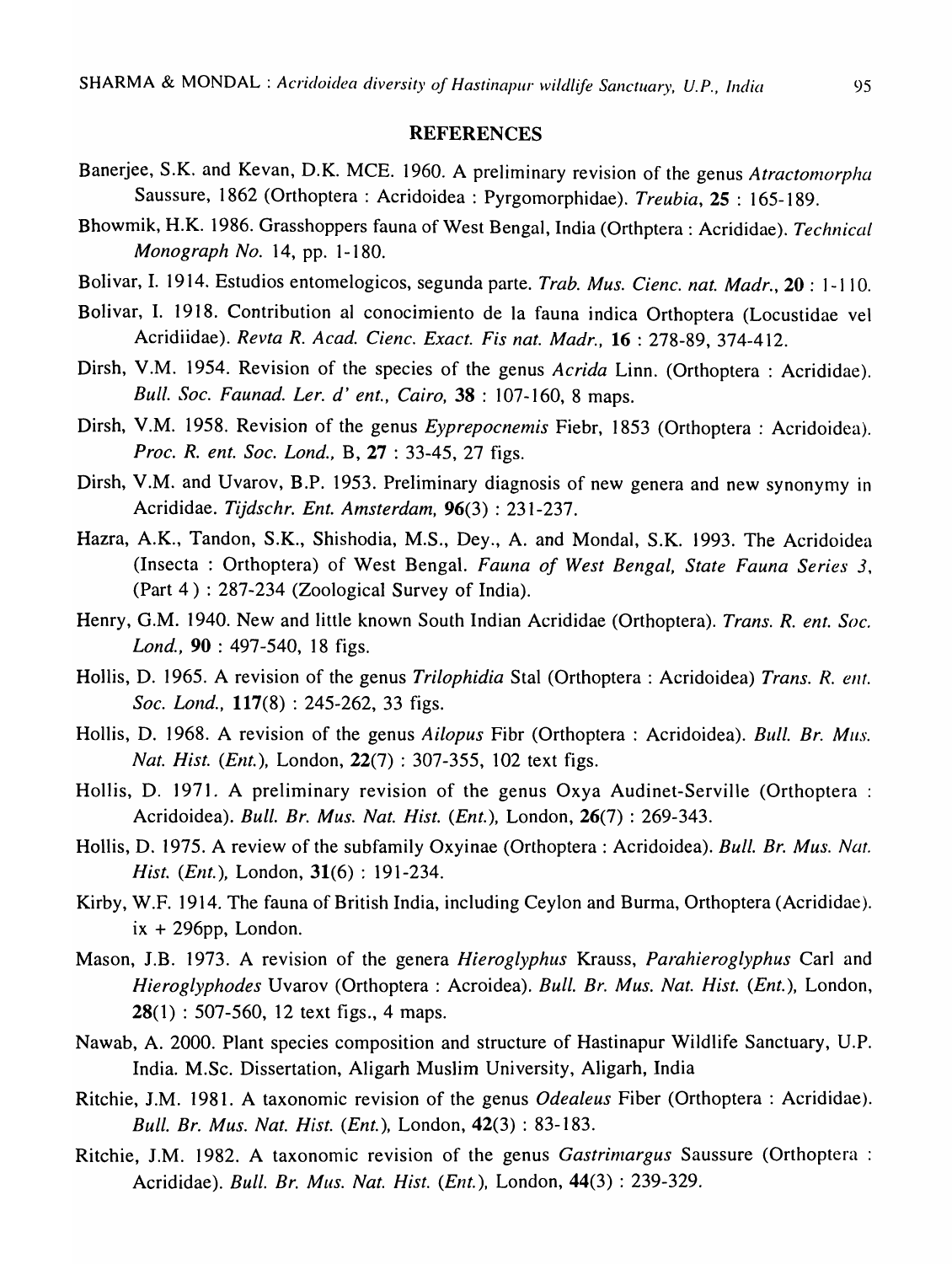#### REFERENCES

- Banerjee, S.K. and Kevan, D.K. MCE. 1960. A preliminary revision of the genus Atractomorpha Saussure, 1862 (Orthoptera : Acridoidea : Pyrgomorphidae). *Treubia,* 25 : 165-189.
- Bhowmik, H.K. 1986. Grasshoppers fauna of West Bengal, India (Orthptera : Acrididae). *Technical Monograph No.* 14, pp. 1-180.
- Bolivar, I. 1914. Estudios entomelogicos, segunda parte. *Trab. Mus. Cienc. nat. Madr.,* 20 : 1-1 10.
- Bolivar, I. 1918. Contribution al conocimiento de la fauna indica Orthoptera (Locustidae vel Acridiidae). *Revta R. A cad. Cienc. Exact. Fis nat. Madr.,* 16 : 278-89, 374-412.
- Dirsh, V.M. 1954. Revision of the species of the genus *Acrida* Linn. (Orthoptera : Acrididae). *Bull. Soc. Faunad. Ler. d' ent., Cairo,* 38 : 107-160, 8 maps.
- Dirsh, V.M. 1958. Revision of the genus *Eyprepocnemis* Fiebr, 1853 (Orthoptera : Acridoidea). *Proc. R. ent. Soc. Lond.,* B, 27 : 33-45, 27 figs.
- Dirsh, V.M. and Uvarov, B.P. 1953. Preliminary diagnosis of new genera and new synonymy in Acrididae. *Tijdschr. Ent. Amsterdam,* 96(3) : 231-237.
- Hazra, A.K., Tandon, S.K., Shishodia, M.S., Dey., A. and Mondal, S.K. 1993. The Acridoidea (Insecta: Orthoptera) of West Bengal. *Fauna of West Bengal, State Fauna Series 3,*  (Part 4) : 287-234 (Zoological Survey of India).
- Henry, G.M. 1940. New and little known South Indian Acrididae (Orthoptera). *Trans. R. ent. Soc. Lond.,* 90 : 497-540, 18 figs.
- Hollis, D. 1965. A revision of the genus *Trilophidia* Stal (Orthoptera : Acridoidea) *Trans. R. ent. Soc. Lond.,* 117(8) : 245-262, 33 figs.
- Hollis, D. 1968. A revision of the genus *Ai/opus* Fibr (Orthoptera : Acridoidea). *Bull. Br. Mils. Nat. Hist. (Ent.),* London, 22(7) : 307-355, 102 text figs.
- Hollis, D. 1971. A preliminary revision of the genus Oxya Audinet-Serville (Orthoptera : Acridoidea). *Bull. Br. Mus. Nat. Hist. (Ent.),* London, 26(7) : 269-343.
- Hollis, D. 1975. A review of the subfamily Oxyinae (Orthoptera : Acridoidea). *Bull. Br. Mus. Nat. Hist. (Ent.),* London, 31(6) : 191-234.
- Kirby, W.F. 1914. The fauna of British India, including Ceylon and Burma, Orthoptera (Acrididae).  $ix + 296$ pp, London.
- Mason, I.B. 1973. A revision of the genera *Hieroglyphus* Krauss, *Parahieroglyphus* Carl and *Hieroglyphodes* Uvarov (Orthoptera : Acroidea). *Bull. Br. Mus. Nat. Hist. (Ent.),* London, 28(1) : 507-560, 12 text figs., 4 maps.
- Nawab, A. 2000. Plant species composition and structure of Hastinapur Wildlife Sanctuary, U.P. India. M.Sc. Dissertation, Aligarh Muslim University, Aligarh, India
- Ritchie, I.M. 1981. A taxonomic revision of the genus *Odealeus* Fiber (Orthoptera : Acrididae). *Bull. Br. Mus. Nat. Hist. (Ent.),* London, 42(3) : 83-183.
- Ritchie, J.M. 1982. A taxonomic revision of the genus *Gastrimargus* Saussure (Orthoptera : Acrididae). *Bull. Br. Mus. Nat. Hist. (Ent.),* London, 44(3) : 239-329.